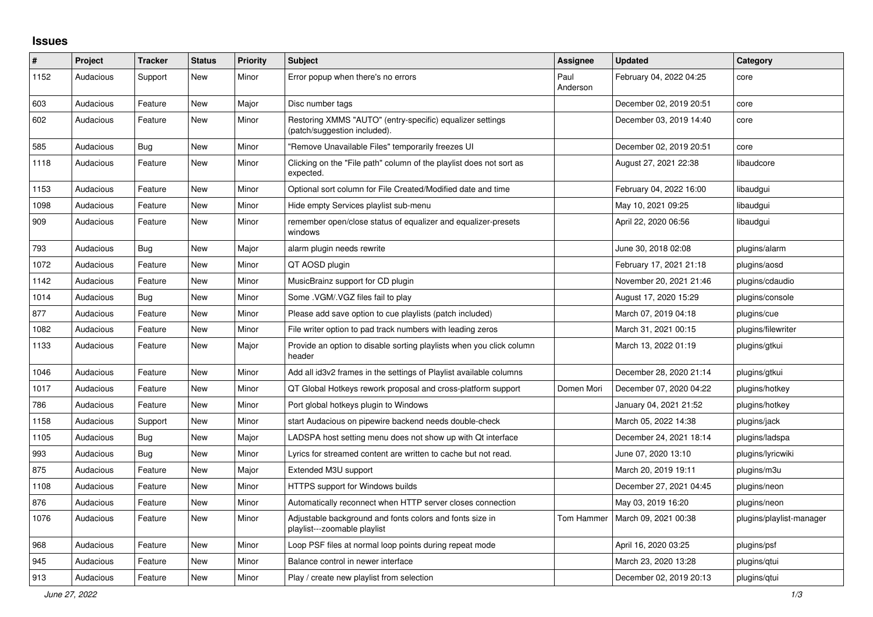## **Issues**

| $\#$ | Project   | <b>Tracker</b> | <b>Status</b> | <b>Priority</b> | <b>Subject</b>                                                                            | <b>Assignee</b>  | <b>Updated</b>          | Category                 |
|------|-----------|----------------|---------------|-----------------|-------------------------------------------------------------------------------------------|------------------|-------------------------|--------------------------|
| 1152 | Audacious | Support        | <b>New</b>    | Minor           | Error popup when there's no errors                                                        | Paul<br>Anderson | February 04, 2022 04:25 | core                     |
| 603  | Audacious | Feature        | <b>New</b>    | Major           | Disc number tags                                                                          |                  | December 02, 2019 20:51 | core                     |
| 602  | Audacious | Feature        | <b>New</b>    | Minor           | Restoring XMMS "AUTO" (entry-specific) equalizer settings<br>(patch/suggestion included). |                  | December 03, 2019 14:40 | core                     |
| 585  | Audacious | <b>Bug</b>     | <b>New</b>    | Minor           | "Remove Unavailable Files" temporarily freezes UI                                         |                  | December 02, 2019 20:51 | core                     |
| 1118 | Audacious | Feature        | <b>New</b>    | Minor           | Clicking on the "File path" column of the playlist does not sort as<br>expected.          |                  | August 27, 2021 22:38   | libaudcore               |
| 1153 | Audacious | Feature        | <b>New</b>    | Minor           | Optional sort column for File Created/Modified date and time                              |                  | February 04, 2022 16:00 | libaudgui                |
| 1098 | Audacious | Feature        | <b>New</b>    | Minor           | Hide empty Services playlist sub-menu                                                     |                  | May 10, 2021 09:25      | libaudgui                |
| 909  | Audacious | Feature        | <b>New</b>    | Minor           | remember open/close status of equalizer and equalizer-presets<br>windows                  |                  | April 22, 2020 06:56    | libaudgui                |
| 793  | Audacious | Bug            | <b>New</b>    | Major           | alarm plugin needs rewrite                                                                |                  | June 30, 2018 02:08     | plugins/alarm            |
| 1072 | Audacious | Feature        | <b>New</b>    | Minor           | QT AOSD plugin                                                                            |                  | February 17, 2021 21:18 | plugins/aosd             |
| 1142 | Audacious | Feature        | <b>New</b>    | Minor           | MusicBrainz support for CD plugin                                                         |                  | November 20, 2021 21:46 | plugins/cdaudio          |
| 1014 | Audacious | Bug            | <b>New</b>    | Minor           | Some .VGM/.VGZ files fail to play                                                         |                  | August 17, 2020 15:29   | plugins/console          |
| 877  | Audacious | Feature        | <b>New</b>    | Minor           | Please add save option to cue playlists (patch included)                                  |                  | March 07, 2019 04:18    | plugins/cue              |
| 1082 | Audacious | Feature        | <b>New</b>    | Minor           | File writer option to pad track numbers with leading zeros                                |                  | March 31, 2021 00:15    | plugins/filewriter       |
| 1133 | Audacious | Feature        | New           | Major           | Provide an option to disable sorting playlists when you click column<br>header            |                  | March 13, 2022 01:19    | plugins/gtkui            |
| 1046 | Audacious | Feature        | <b>New</b>    | Minor           | Add all id3v2 frames in the settings of Playlist available columns                        |                  | December 28, 2020 21:14 | plugins/gtkui            |
| 1017 | Audacious | Feature        | New           | Minor           | QT Global Hotkeys rework proposal and cross-platform support                              | Domen Mori       | December 07, 2020 04:22 | plugins/hotkey           |
| 786  | Audacious | Feature        | <b>New</b>    | Minor           | Port global hotkeys plugin to Windows                                                     |                  | January 04, 2021 21:52  | plugins/hotkey           |
| 1158 | Audacious | Support        | <b>New</b>    | Minor           | start Audacious on pipewire backend needs double-check                                    |                  | March 05, 2022 14:38    | plugins/jack             |
| 1105 | Audacious | Bug            | <b>New</b>    | Major           | LADSPA host setting menu does not show up with Qt interface                               |                  | December 24, 2021 18:14 | plugins/ladspa           |
| 993  | Audacious | <b>Bug</b>     | <b>New</b>    | Minor           | Lyrics for streamed content are written to cache but not read.                            |                  | June 07, 2020 13:10     | plugins/lyricwiki        |
| 875  | Audacious | Feature        | <b>New</b>    | Major           | Extended M3U support                                                                      |                  | March 20, 2019 19:11    | plugins/m3u              |
| 1108 | Audacious | Feature        | New           | Minor           | HTTPS support for Windows builds                                                          |                  | December 27, 2021 04:45 | plugins/neon             |
| 876  | Audacious | Feature        | <b>New</b>    | Minor           | Automatically reconnect when HTTP server closes connection                                |                  | May 03, 2019 16:20      | plugins/neon             |
| 1076 | Audacious | Feature        | <b>New</b>    | Minor           | Adjustable background and fonts colors and fonts size in<br>playlist---zoomable playlist  | Tom Hammer       | March 09, 2021 00:38    | plugins/playlist-manager |
| 968  | Audacious | Feature        | New           | Minor           | Loop PSF files at normal loop points during repeat mode                                   |                  | April 16, 2020 03:25    | plugins/psf              |
| 945  | Audacious | Feature        | <b>New</b>    | Minor           | Balance control in newer interface                                                        |                  | March 23, 2020 13:28    | plugins/gtui             |
| 913  | Audacious | Feature        | <b>New</b>    | Minor           | Play / create new playlist from selection                                                 |                  | December 02, 2019 20:13 | plugins/qtui             |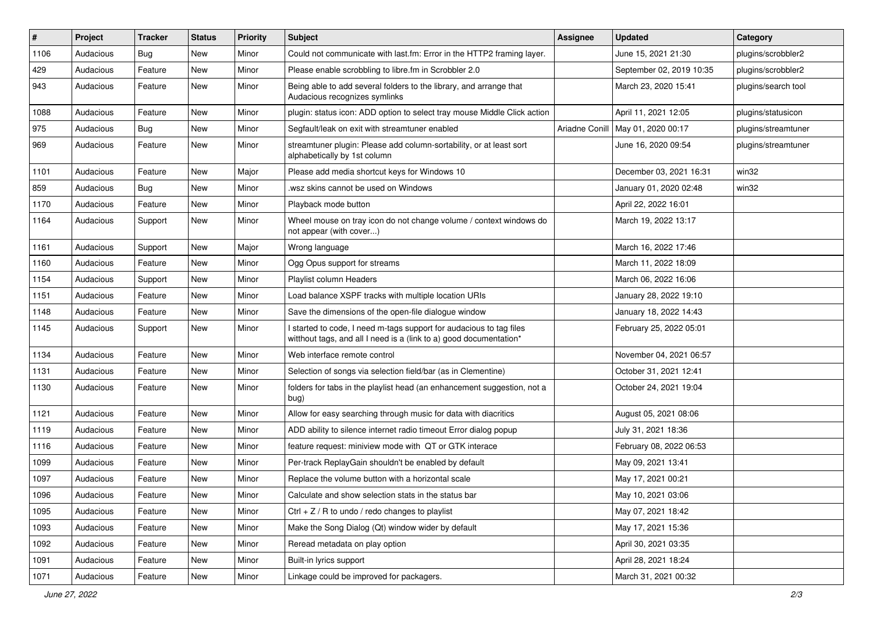| $\vert$ # | Project   | <b>Tracker</b> | <b>Status</b> | <b>Priority</b> | <b>Subject</b>                                                                                                                            | <b>Assignee</b> | <b>Updated</b>                      | Category            |
|-----------|-----------|----------------|---------------|-----------------|-------------------------------------------------------------------------------------------------------------------------------------------|-----------------|-------------------------------------|---------------------|
| 1106      | Audacious | <b>Bug</b>     | <b>New</b>    | Minor           | Could not communicate with last.fm: Error in the HTTP2 framing layer.                                                                     |                 | June 15, 2021 21:30                 | plugins/scrobbler2  |
| 429       | Audacious | Feature        | <b>New</b>    | Minor           | Please enable scrobbling to libre.fm in Scrobbler 2.0                                                                                     |                 | September 02, 2019 10:35            | plugins/scrobbler2  |
| 943       | Audacious | Feature        | <b>New</b>    | Minor           | Being able to add several folders to the library, and arrange that<br>Audacious recognizes symlinks                                       |                 | March 23, 2020 15:41                | plugins/search tool |
| 1088      | Audacious | Feature        | <b>New</b>    | Minor           | plugin: status icon: ADD option to select tray mouse Middle Click action                                                                  |                 | April 11, 2021 12:05                | plugins/statusicon  |
| 975       | Audacious | Bug            | <b>New</b>    | Minor           | Segfault/leak on exit with streamtuner enabled                                                                                            |                 | Ariadne Conill   May 01, 2020 00:17 | plugins/streamtuner |
| 969       | Audacious | Feature        | <b>New</b>    | Minor           | streamtuner plugin: Please add column-sortability, or at least sort<br>alphabetically by 1st column                                       |                 | June 16, 2020 09:54                 | plugins/streamtuner |
| 1101      | Audacious | Feature        | <b>New</b>    | Major           | Please add media shortcut keys for Windows 10                                                                                             |                 | December 03, 2021 16:31             | win32               |
| 859       | Audacious | <b>Bug</b>     | <b>New</b>    | Minor           | wsz skins cannot be used on Windows                                                                                                       |                 | January 01, 2020 02:48              | win32               |
| 1170      | Audacious | Feature        | <b>New</b>    | Minor           | Playback mode button                                                                                                                      |                 | April 22, 2022 16:01                |                     |
| 1164      | Audacious | Support        | New           | Minor           | Wheel mouse on tray icon do not change volume / context windows do<br>not appear (with cover)                                             |                 | March 19, 2022 13:17                |                     |
| 1161      | Audacious | Support        | New           | Major           | Wrong language                                                                                                                            |                 | March 16, 2022 17:46                |                     |
| 1160      | Audacious | Feature        | <b>New</b>    | Minor           | Ogg Opus support for streams                                                                                                              |                 | March 11, 2022 18:09                |                     |
| 1154      | Audacious | Support        | New           | Minor           | Playlist column Headers                                                                                                                   |                 | March 06, 2022 16:06                |                     |
| 1151      | Audacious | Feature        | New           | Minor           | Load balance XSPF tracks with multiple location URIs                                                                                      |                 | January 28, 2022 19:10              |                     |
| 1148      | Audacious | Feature        | New           | Minor           | Save the dimensions of the open-file dialogue window                                                                                      |                 | January 18, 2022 14:43              |                     |
| 1145      | Audacious | Support        | New           | Minor           | I started to code, I need m-tags support for audacious to tag files<br>witthout tags, and all I need is a (link to a) good documentation* |                 | February 25, 2022 05:01             |                     |
| 1134      | Audacious | Feature        | <b>New</b>    | Minor           | Web interface remote control                                                                                                              |                 | November 04, 2021 06:57             |                     |
| 1131      | Audacious | Feature        | New           | Minor           | Selection of songs via selection field/bar (as in Clementine)                                                                             |                 | October 31, 2021 12:41              |                     |
| 1130      | Audacious | Feature        | <b>New</b>    | Minor           | folders for tabs in the playlist head (an enhancement suggestion, not a<br>bug)                                                           |                 | October 24, 2021 19:04              |                     |
| 1121      | Audacious | Feature        | New           | Minor           | Allow for easy searching through music for data with diacritics                                                                           |                 | August 05, 2021 08:06               |                     |
| 1119      | Audacious | Feature        | New           | Minor           | ADD ability to silence internet radio timeout Error dialog popup                                                                          |                 | July 31, 2021 18:36                 |                     |
| 1116      | Audacious | Feature        | <b>New</b>    | Minor           | feature request: miniview mode with QT or GTK interace                                                                                    |                 | February 08, 2022 06:53             |                     |
| 1099      | Audacious | Feature        | New           | Minor           | Per-track ReplayGain shouldn't be enabled by default                                                                                      |                 | May 09, 2021 13:41                  |                     |
| 1097      | Audacious | Feature        | New           | Minor           | Replace the volume button with a horizontal scale                                                                                         |                 | May 17, 2021 00:21                  |                     |
| 1096      | Audacious | Feature        | New           | Minor           | Calculate and show selection stats in the status bar                                                                                      |                 | May 10, 2021 03:06                  |                     |
| 1095      | Audacious | Feature        | New           | Minor           | Ctrl + $Z$ / R to undo / redo changes to playlist                                                                                         |                 | May 07, 2021 18:42                  |                     |
| 1093      | Audacious | Feature        | New           | Minor           | Make the Song Dialog (Qt) window wider by default                                                                                         |                 | May 17, 2021 15:36                  |                     |
| 1092      | Audacious | Feature        | New           | Minor           | Reread metadata on play option                                                                                                            |                 | April 30, 2021 03:35                |                     |
| 1091      | Audacious | Feature        | New           | Minor           | Built-in lyrics support                                                                                                                   |                 | April 28, 2021 18:24                |                     |
| 1071      | Audacious | Feature        | New           | Minor           | Linkage could be improved for packagers.                                                                                                  |                 | March 31, 2021 00:32                |                     |